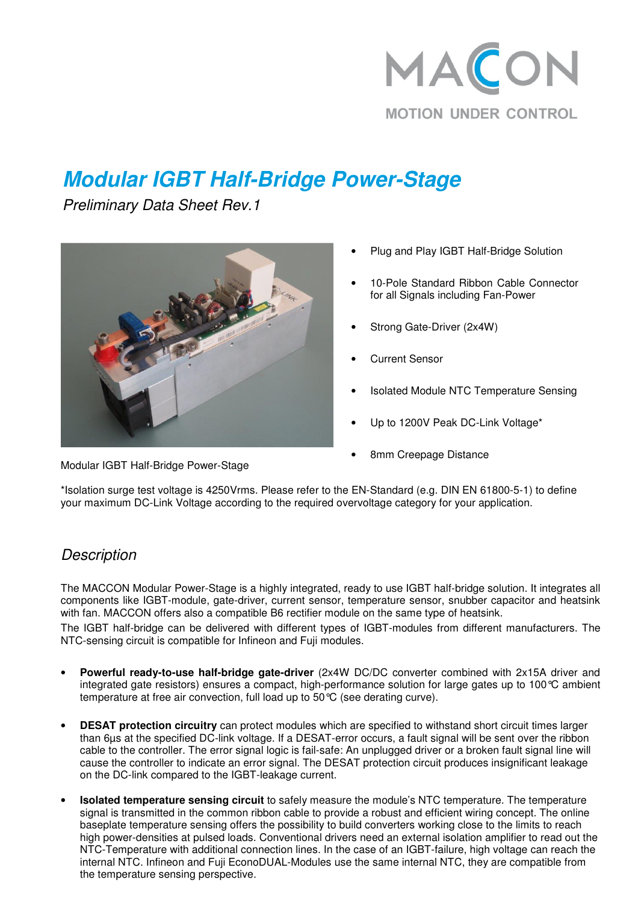

# **Modular IGBT Half-Bridge Power-Stage**

Preliminary Data Sheet Rev.1

Modular IGBT Half-Bridge Power-Stage



- Plug and Play IGBT Half-Bridge Solution
- 10-Pole Standard Ribbon Cable Connector for all Signals including Fan-Power
- Strong Gate-Driver (2x4W)
- Current Sensor
- Isolated Module NTC Temperature Sensing
- Up to 1200V Peak DC-Link Voltage\*
- 8mm Creepage Distance

\*Isolation surge test voltage is 4250Vrms. Please refer to the EN-Standard (e.g. DIN EN 61800-5-1) to define your maximum DC-Link Voltage according to the required overvoltage category for your application.

#### **Description**

The MACCON Modular Power-Stage is a highly integrated, ready to use IGBT half-bridge solution. It integrates all components like IGBT-module, gate-driver, current sensor, temperature sensor, snubber capacitor and heatsink with fan. MACCON offers also a compatible B6 rectifier module on the same type of heatsink.

The IGBT half-bridge can be delivered with different types of IGBT-modules from different manufacturers. The NTC-sensing circuit is compatible for Infineon and Fuji modules.

- **Powerful ready-to-use half-bridge gate-driver** (2x4W DC/DC converter combined with 2x15A driver and integrated gate resistors) ensures a compact, high-performance solution for large gates up to 100°C ambient temperature at free air convection, full load up to 50°C (see derating curve).
- **DESAT protection circuitry** can protect modules which are specified to withstand short circuit times larger than 6µs at the specified DC-link voltage. If a DESAT-error occurs, a fault signal will be sent over the ribbon cable to the controller. The error signal logic is fail-safe: An unplugged driver or a broken fault signal line will cause the controller to indicate an error signal. The DESAT protection circuit produces insignificant leakage on the DC-link compared to the IGBT-leakage current.
- **Isolated temperature sensing circuit** to safely measure the module's NTC temperature. The temperature signal is transmitted in the common ribbon cable to provide a robust and efficient wiring concept. The online baseplate temperature sensing offers the possibility to build converters working close to the limits to reach high power-densities at pulsed loads. Conventional drivers need an external isolation amplifier to read out the NTC-Temperature with additional connection lines. In the case of an IGBT-failure, high voltage can reach the internal NTC. Infineon and Fuji EconoDUAL-Modules use the same internal NTC, they are compatible from the temperature sensing perspective.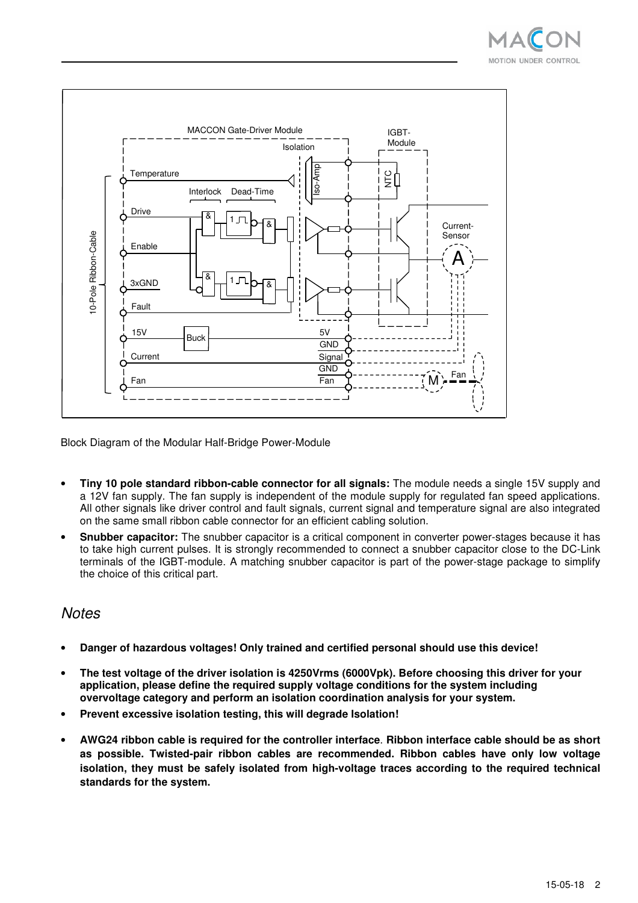



Block Diagram of the Modular Half-Bridge Power-Module

- **Tiny 10 pole standard ribbon-cable connector for all signals:** The module needs a single 15V supply and a 12V fan supply. The fan supply is independent of the module supply for regulated fan speed applications. All other signals like driver control and fault signals, current signal and temperature signal are also integrated on the same small ribbon cable connector for an efficient cabling solution.
- **Snubber capacitor:** The snubber capacitor is a critical component in converter power-stages because it has to take high current pulses. It is strongly recommended to connect a snubber capacitor close to the DC-Link terminals of the IGBT-module. A matching snubber capacitor is part of the power-stage package to simplify the choice of this critical part.

#### **Notes**

- **Danger of hazardous voltages! Only trained and certified personal should use this device!**
- **The test voltage of the driver isolation is 4250Vrms (6000Vpk). Before choosing this driver for your application, please define the required supply voltage conditions for the system including overvoltage category and perform an isolation coordination analysis for your system.**
- **Prevent excessive isolation testing, this will degrade Isolation!**
- **AWG24 ribbon cable is required for the controller interface**. **Ribbon interface cable should be as short as possible. Twisted-pair ribbon cables are recommended. Ribbon cables have only low voltage isolation, they must be safely isolated from high-voltage traces according to the required technical standards for the system.**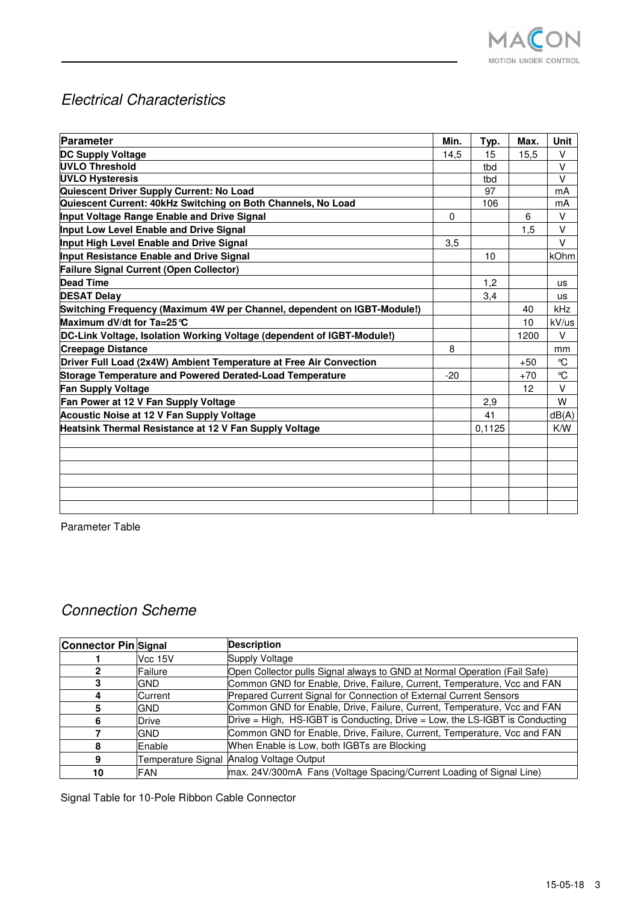

# Electrical Characteristics

| Parameter                                                               | Min. | Typ.   | Max.  | <b>Unit</b>  |
|-------------------------------------------------------------------------|------|--------|-------|--------------|
| <b>DC Supply Voltage</b>                                                | 14,5 | 15     | 15,5  | V            |
| UVLO Threshold                                                          |      | tbd    |       | $\vee$       |
| <b>UVLO Hysteresis</b>                                                  |      | tbd    |       | $\vee$       |
| Quiescent Driver Supply Current: No Load                                |      | 97     |       | mA           |
| Quiescent Current: 40kHz Switching on Both Channels, No Load            |      | 106    |       | mA           |
| Input Voltage Range Enable and Drive Signal                             | 0    |        | 6     | $\vee$       |
| Input Low Level Enable and Drive Signal                                 |      |        | 1,5   | $\vee$       |
| Input High Level Enable and Drive Signal                                | 3,5  |        |       | $\vee$       |
| Input Resistance Enable and Drive Signal                                |      | 10     |       | kOhm         |
| Failure Signal Current (Open Collector)                                 |      |        |       |              |
| <b>Dead Time</b>                                                        |      | 1.2    |       | <b>us</b>    |
| <b>DESAT Delay</b>                                                      |      | 3,4    |       | us           |
| Switching Frequency (Maximum 4W per Channel, dependent on IGBT-Module!) |      |        | 40    | kHz          |
| Maximum dV/dt for Ta=25 ℃                                               |      |        | 10    | kV/us        |
| DC-Link Voltage, Isolation Working Voltage (dependent of IGBT-Module!)  |      |        | 1200  | $\vee$       |
| <b>Creepage Distance</b>                                                |      |        |       | mm           |
| Driver Full Load (2x4W) Ambient Temperature at Free Air Convection      |      |        | $+50$ | $\mathrm{C}$ |
| Storage Temperature and Powered Derated-Load Temperature                |      |        | $+70$ | °C           |
| <b>Fan Supply Voltage</b>                                               |      |        | 12    | $\vee$       |
| Fan Power at 12 V Fan Supply Voltage                                    |      | 2,9    |       | W            |
| Acoustic Noise at 12 V Fan Supply Voltage                               |      | 41     |       | dB(A)        |
| Heatsink Thermal Resistance at 12 V Fan Supply Voltage                  |      | 0,1125 |       | K/W          |
|                                                                         |      |        |       |              |
|                                                                         |      |        |       |              |
|                                                                         |      |        |       |              |
|                                                                         |      |        |       |              |
|                                                                         |      |        |       |              |
|                                                                         |      |        |       |              |
|                                                                         |      |        |       |              |

Parameter Table

# Connection Scheme

| <b>Connector Pin Signal</b> |                    | <b>Description</b>                                                          |
|-----------------------------|--------------------|-----------------------------------------------------------------------------|
|                             | Vcc 15V            | Supply Voltage                                                              |
|                             | Failure            | Open Collector pulls Signal always to GND at Normal Operation (Fail Safe)   |
|                             | <b>GND</b>         | Common GND for Enable, Drive, Failure, Current, Temperature, Vcc and FAN    |
|                             | Current            | Prepared Current Signal for Connection of External Current Sensors          |
| 5                           | <b>GND</b>         | Common GND for Enable, Drive, Failure, Current, Temperature, Vcc and FAN    |
|                             | <b>Drive</b>       | Drive = High, HS-IGBT is Conducting, Drive = Low, the LS-IGBT is Conducting |
|                             | <b>GND</b>         | Common GND for Enable, Drive, Failure, Current, Temperature, Vcc and FAN    |
|                             | <b>Enable</b>      | When Enable is Low, both IGBTs are Blocking                                 |
|                             | Temperature Signal | Analog Voltage Output                                                       |
| 10                          | <b>FAN</b>         | max. 24V/300mA Fans (Voltage Spacing/Current Loading of Signal Line)        |

Signal Table for 10-Pole Ribbon Cable Connector